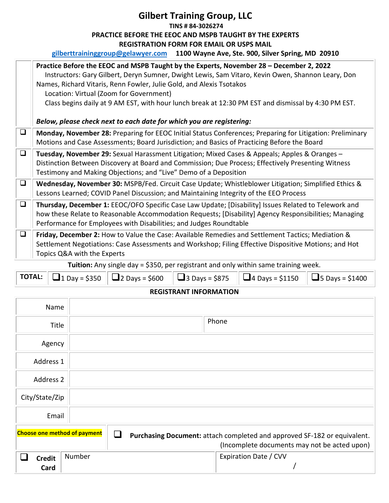## **Gilbert Training Group, LLC TINS # 84-3026274 PRACTICE BEFORE THE EEOC AND MSPB TAUGHT BY THE EXPERTS REGISTRATION FORM FOR EMAIL OR USPS MAIL**

|  | gilberttraininggroup@gelawyer.com 1100 Wayne Ave, Ste. 900, Silver Spring, MD 20910 |
|--|-------------------------------------------------------------------------------------|
|--|-------------------------------------------------------------------------------------|

|        | Practice Before the EEOC and MSPB Taught by the Experts, November 28 - December 2, 2022<br>Instructors: Gary Gilbert, Deryn Sumner, Dwight Lewis, Sam Vitaro, Kevin Owen, Shannon Leary, Don<br>Names, Richard Vitaris, Renn Fowler, Julie Gold, and Alexis Tsotakos<br>Location: Virtual (Zoom for Government)<br>Class begins daily at 9 AM EST, with hour lunch break at 12:30 PM EST and dismissal by 4:30 PM EST. |
|--------|------------------------------------------------------------------------------------------------------------------------------------------------------------------------------------------------------------------------------------------------------------------------------------------------------------------------------------------------------------------------------------------------------------------------|
|        | Below, please check next to each date for which you are registering:                                                                                                                                                                                                                                                                                                                                                   |
| $\Box$ | Monday, November 28: Preparing for EEOC Initial Status Conferences; Preparing for Litigation: Preliminary<br>Motions and Case Assessments; Board Jurisdiction; and Basics of Practicing Before the Board                                                                                                                                                                                                               |
| $\Box$ | Tuesday, November 29: Sexual Harassment Litigation; Mixed Cases & Appeals; Apples & Oranges -<br>Distinction Between Discovery at Board and Commission; Due Process; Effectively Presenting Witness<br>Testimony and Making Objections; and "Live" Demo of a Deposition                                                                                                                                                |
| $\Box$ | Wednesday, November 30: MSPB/Fed. Circuit Case Update; Whistleblower Litigation; Simplified Ethics &<br>Lessons Learned; COVID Panel Discussion; and Maintaining Integrity of the EEO Process                                                                                                                                                                                                                          |
| $\Box$ | Thursday, December 1: EEOC/OFO Specific Case Law Update; [Disability] Issues Related to Telework and<br>how these Relate to Reasonable Accommodation Requests; [Disability] Agency Responsibilities; Managing<br>Performance for Employees with Disabilities; and Judges Roundtable                                                                                                                                    |
| $\Box$ | Friday, December 2: How to Value the Case: Available Remedies and Settlement Tactics; Mediation &<br>Settlement Negotiations: Case Assessments and Workshop; Filing Effective Dispositive Motions; and Hot<br>Topics Q&A with the Experts                                                                                                                                                                              |
|        | <b>Tuition:</b> Any single $\frac{1}{2}$ of $\frac{1}{2}$ nor registrant and only within same training weak                                                                                                                                                                                                                                                                                                            |

**Tuition:** Any single day = \$350, per registrant and only within same training week.

|                          |  |  |  | <b>TOTAL:</b> $\Box$ 1 Day = \$350 $\Box$ 2 Days = \$600 $\Box$ 3 Days = \$875 $\Box$ 4 Days = \$1150 $\Box$ 5 Days = \$1400 |  |
|--------------------------|--|--|--|------------------------------------------------------------------------------------------------------------------------------|--|
| ------------------------ |  |  |  |                                                                                                                              |  |

## **REGISTRANT INFORMATION**

| Name                                |        |                                                                                                                          |
|-------------------------------------|--------|--------------------------------------------------------------------------------------------------------------------------|
| Title                               |        | Phone                                                                                                                    |
| Agency                              |        |                                                                                                                          |
| Address 1                           |        |                                                                                                                          |
| Address 2                           |        |                                                                                                                          |
| City/State/Zip                      |        |                                                                                                                          |
| Email                               |        |                                                                                                                          |
| <b>Choose one method of payment</b> |        | Purchasing Document: attach completed and approved SF-182 or equivalent.<br>(Incomplete documents may not be acted upon) |
| <b>Credit</b><br>Card               | Number | Expiration Date / CVV                                                                                                    |